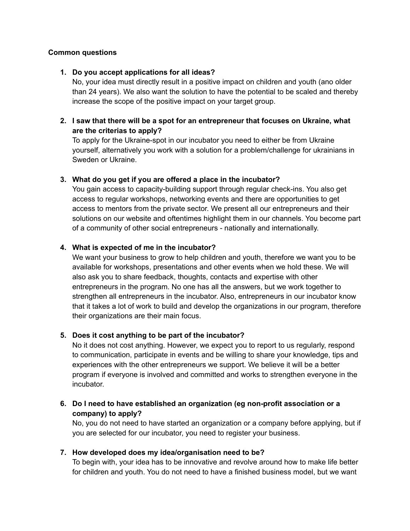### **Common questions**

#### **1. Do you accept applications for all ideas?**

No, your idea must directly result in a positive impact on children and youth (ano older than 24 years). We also want the solution to have the potential to be scaled and thereby increase the scope of the positive impact on your target group.

### **2. I saw that there will be a spot for an entrepreneur that focuses on Ukraine, what are the criterias to apply?**

To apply for the Ukraine-spot in our incubator you need to either be from Ukraine yourself, alternatively you work with a solution for a problem/challenge for ukrainians in Sweden or Ukraine.

### **3. What do you get if you are offered a place in the incubator?**

You gain access to capacity-building support through regular check-ins. You also get access to regular workshops, networking events and there are opportunities to get access to mentors from the private sector. We present all our entrepreneurs and their solutions on our website and oftentimes highlight them in our channels. You become part of a community of other social entrepreneurs - nationally and internationally.

### **4. What is expected of me in the incubator?**

We want your business to grow to help children and youth, therefore we want you to be available for workshops, presentations and other events when we hold these. We will also ask you to share feedback, thoughts, contacts and expertise with other entrepreneurs in the program. No one has all the answers, but we work together to strengthen all entrepreneurs in the incubator. Also, entrepreneurs in our incubator know that it takes a lot of work to build and develop the organizations in our program, therefore their organizations are their main focus.

### **5. Does it cost anything to be part of the incubator?**

No it does not cost anything. However, we expect you to report to us regularly, respond to communication, participate in events and be willing to share your knowledge, tips and experiences with the other entrepreneurs we support. We believe it will be a better program if everyone is involved and committed and works to strengthen everyone in the incubator.

# **6. Do I need to have established an organization (eg non-profit association or a company) to apply?**

No, you do not need to have started an organization or a company before applying, but if you are selected for our incubator, you need to register your business.

### **7. How developed does my idea/organisation need to be?**

To begin with, your idea has to be innovative and revolve around how to make life better for children and youth. You do not need to have a finished business model, but we want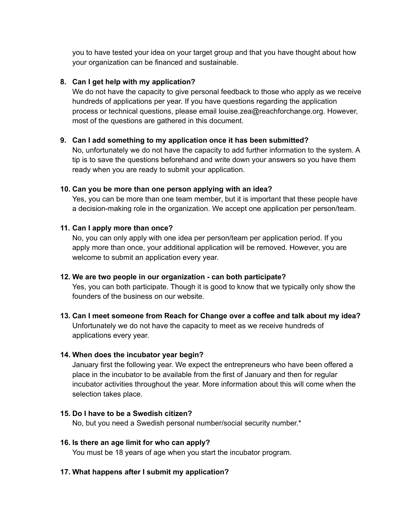you to have tested your idea on your target group and that you have thought about how your organization can be financed and sustainable.

## **8. Can I get help with my application?**

We do not have the capacity to give personal feedback to those who apply as we receive hundreds of applications per year. If you have questions regarding the application process or technical questions, please email louise.zea@reachforchange.org. However, most of the questions are gathered in this document.

### **9. Can I add something to my application once it has been submitted?**

No, unfortunately we do not have the capacity to add further information to the system. A tip is to save the questions beforehand and write down your answers so you have them ready when you are ready to submit your application.

### **10. Can you be more than one person applying with an idea?**

Yes, you can be more than one team member, but it is important that these people have a decision-making role in the organization. We accept one application per person/team.

### **11. Can I apply more than once?**

No, you can only apply with one idea per person/team per application period. If you apply more than once, your additional application will be removed. However, you are welcome to submit an application every year.

### **12. We are two people in our organization - can both participate?**

Yes, you can both participate. Though it is good to know that we typically only show the founders of the business on our website.

# **13. Can I meet someone from Reach for Change over a coffee and talk about my idea?** Unfortunately we do not have the capacity to meet as we receive hundreds of applications every year.

### **14. When does the incubator year begin?**

January first the following year. We expect the entrepreneurs who have been offered a place in the incubator to be available from the first of January and then for regular incubator activities throughout the year. More information about this will come when the selection takes place.

## **15. Do I have to be a Swedish citizen?**

No, but you need a Swedish personal number/social security number.\*

**16. Is there an age limit for who can apply?** You must be 18 years of age when you start the incubator program.

# **17. What happens after I submit my application?**